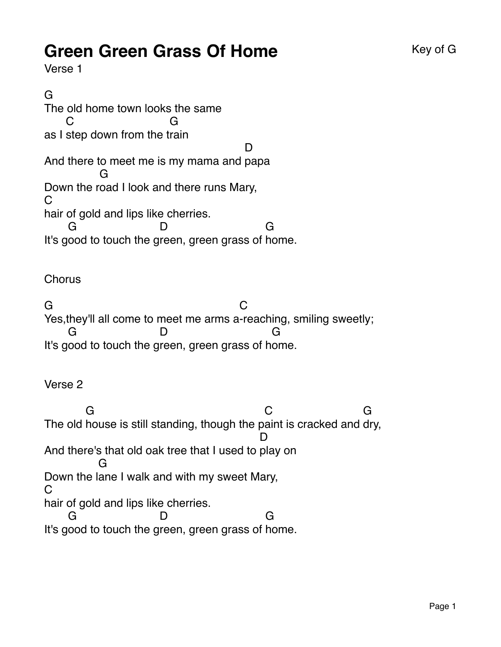## **Green Green Grass Of Home** Key of G

Verse 1

G The old home town looks the same as I step down from the t rain C G And there to meet me is my mama and papa D Down the r oad I look and there runs Mary, G  $\Gamma$ hair of gold and lips like cherries. It's good to touch the green, green grass of home. G D G

**Chorus** 

G Yes,they'll all come to meet me arms a -reaching, smiling sweetly;  $\mathcal{C}$ It's good to touch the green, green grass of home. G D. G

Verse 2

The old house is still standing, though the p aint is cracked and dry, G  $\cap$ G And there's that old oak tree that I used to play on D Down the l ane I walk and with my sweet Mary, G C hair of gold and lips like cherries. It's good to touch the green, green grass of home. G D G